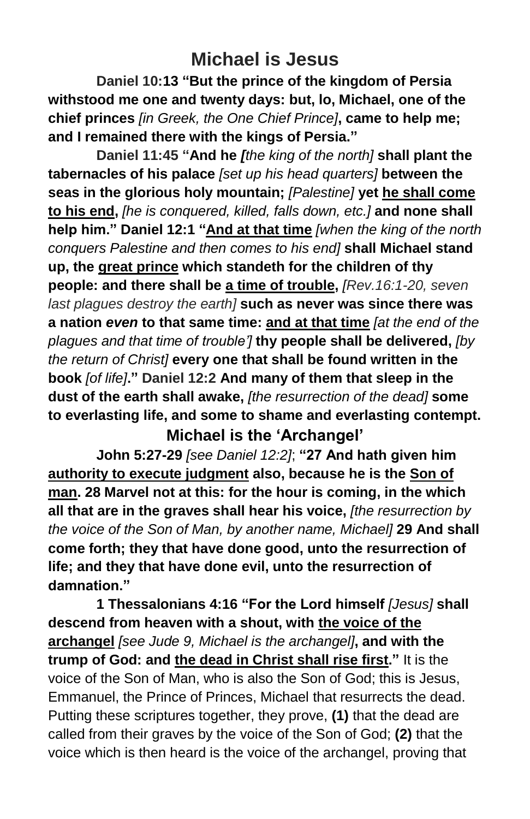## **Michael is Jesus**

**Daniel 10:13 "But the prince of the kingdom of Persia withstood me one and twenty days: but, lo, Michael, one of the chief princes** *[in Greek, the One Chief Prince]***, came to help me; and I remained there with the kings of Persia."**

**Daniel 11:45 "And he** *[the king of the north]* **shall plant the tabernacles of his palace** *[set up his head quarters]* **between the seas in the glorious holy mountain;** *[Palestine]* **yet he shall come to his end,** *[he is conquered, killed, falls down, etc.]* **and none shall help him." Daniel 12:1 "And at that time** *[when the king of the north conquers Palestine and then comes to his end]* **shall Michael stand up, the great prince which standeth for the children of thy people: and there shall be a time of trouble,** *[Rev.16:1-20, seven last plagues destroy the earth]* **such as never was since there was a nation** *even* **to that same time: and at that time** *[at the end of the plagues and that time of trouble']* **thy people shall be delivered,** *[by the return of Christ]* **every one that shall be found written in the book** *[of life]***." Daniel 12:2 And many of them that sleep in the dust of the earth shall awake,** *[the resurrection of the dead]* **some to everlasting life, and some to shame and everlasting contempt.**

**Michael is the 'Archangel'**

**John 5:27-29** *[see Daniel 12:2]*; **"27 And hath given him authority to execute judgment also, because he is the Son of man. 28 Marvel not at this: for the hour is coming, in the which all that are in the graves shall hear his voice,** *[the resurrection by the voice of the Son of Man, by another name, Michael]* **29 And shall come forth; they that have done good, unto the resurrection of life; and they that have done evil, unto the resurrection of damnation."**

**1 Thessalonians 4:16 "For the Lord himself** *[Jesus]* **shall descend from heaven with a shout, with the voice of the archangel** *[see Jude 9, Michael is the archangel]***, and with the trump of God: and the dead in Christ shall rise first."** It is the voice of the Son of Man, who is also the Son of God; this is Jesus, Emmanuel, the Prince of Princes, Michael that resurrects the dead. Putting these scriptures together, they prove, **(1)** that the dead are called from their graves by the voice of the Son of God; **(2)** that the voice which is then heard is the voice of the archangel, proving that